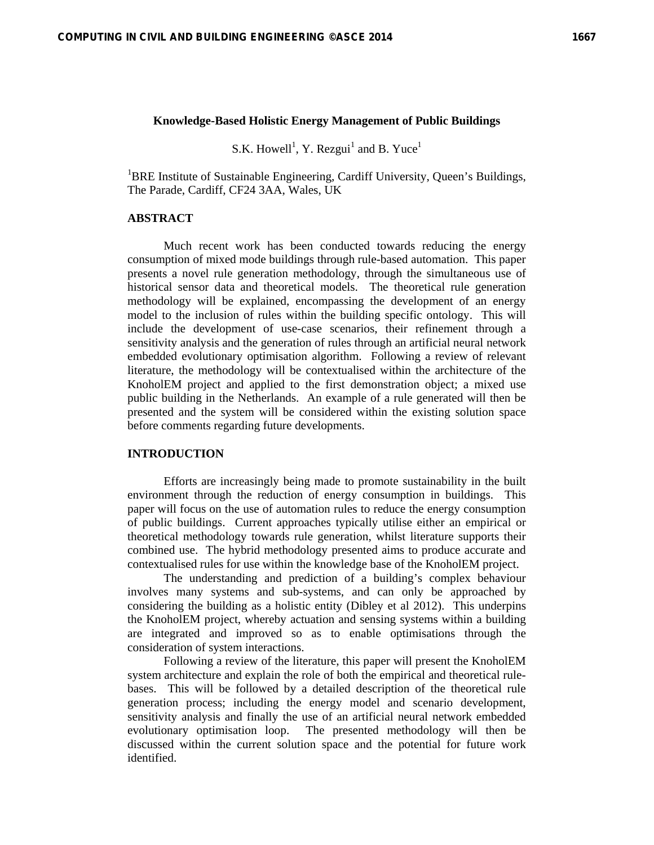#### **Knowledge-Based Holistic Energy Management of Public Buildings**

S.K. Howell<sup>1</sup>, Y. Rezgui<sup>1</sup> and B. Yuce<sup>1</sup>

<sup>1</sup>BRE Institute of Sustainable Engineering, Cardiff University, Queen's Buildings, The Parade, Cardiff, CF24 3AA, Wales, UK

# **ABSTRACT**

Much recent work has been conducted towards reducing the energy consumption of mixed mode buildings through rule-based automation. This paper presents a novel rule generation methodology, through the simultaneous use of historical sensor data and theoretical models. The theoretical rule generation methodology will be explained, encompassing the development of an energy model to the inclusion of rules within the building specific ontology. This will include the development of use-case scenarios, their refinement through a sensitivity analysis and the generation of rules through an artificial neural network embedded evolutionary optimisation algorithm. Following a review of relevant literature, the methodology will be contextualised within the architecture of the KnoholEM project and applied to the first demonstration object; a mixed use public building in the Netherlands. An example of a rule generated will then be presented and the system will be considered within the existing solution space before comments regarding future developments.

### **INTRODUCTION**

 Efforts are increasingly being made to promote sustainability in the built environment through the reduction of energy consumption in buildings. This paper will focus on the use of automation rules to reduce the energy consumption of public buildings. Current approaches typically utilise either an empirical or theoretical methodology towards rule generation, whilst literature supports their combined use. The hybrid methodology presented aims to produce accurate and contextualised rules for use within the knowledge base of the KnoholEM project.

 The understanding and prediction of a building's complex behaviour involves many systems and sub-systems, and can only be approached by considering the building as a holistic entity (Dibley et al 2012). This underpins the KnoholEM project, whereby actuation and sensing systems within a building are integrated and improved so as to enable optimisations through the consideration of system interactions.

 Following a review of the literature, this paper will present the KnoholEM system architecture and explain the role of both the empirical and theoretical rulebases. This will be followed by a detailed description of the theoretical rule generation process; including the energy model and scenario development, sensitivity analysis and finally the use of an artificial neural network embedded evolutionary optimisation loop. The presented methodology will then be discussed within the current solution space and the potential for future work identified.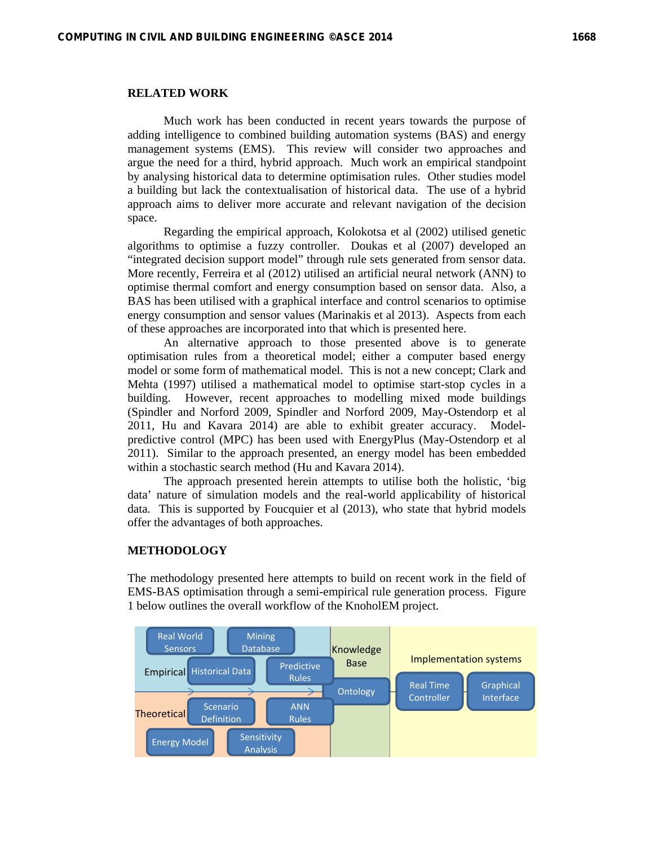# **RELATED WORK**

Much work has been conducted in recent years towards the purpose of adding intelligence to combined building automation systems (BAS) and energy management systems (EMS). This review will consider two approaches and argue the need for a third, hybrid approach. Much work an empirical standpoint by analysing historical data to determine optimisation rules. Other studies model a building but lack the contextualisation of historical data. The use of a hybrid approach aims to deliver more accurate and relevant navigation of the decision space.

 Regarding the empirical approach, Kolokotsa et al (2002) utilised genetic algorithms to optimise a fuzzy controller. Doukas et al (2007) developed an "integrated decision support model" through rule sets generated from sensor data. More recently, Ferreira et al (2012) utilised an artificial neural network (ANN) to optimise thermal comfort and energy consumption based on sensor data. Also, a BAS has been utilised with a graphical interface and control scenarios to optimise energy consumption and sensor values (Marinakis et al 2013). Aspects from each of these approaches are incorporated into that which is presented here.

 An alternative approach to those presented above is to generate optimisation rules from a theoretical model; either a computer based energy model or some form of mathematical model. This is not a new concept; Clark and Mehta (1997) utilised a mathematical model to optimise start-stop cycles in a building. However, recent approaches to modelling mixed mode buildings (Spindler and Norford 2009, Spindler and Norford 2009, May-Ostendorp et al 2011, Hu and Kavara 2014) are able to exhibit greater accuracy. Modelpredictive control (MPC) has been used with EnergyPlus (May-Ostendorp et al 2011). Similar to the approach presented, an energy model has been embedded within a stochastic search method (Hu and Kavara 2014).

 The approach presented herein attempts to utilise both the holistic, 'big data' nature of simulation models and the real-world applicability of historical data. This is supported by Foucquier et al (2013), who state that hybrid models offer the advantages of both approaches.

## **METHODOLOGY**

The methodology presented here attempts to build on recent work in the field of EMS-BAS optimisation through a semi-empirical rule generation process. Figure 1 below outlines the overall workflow of the KnoholEM project.

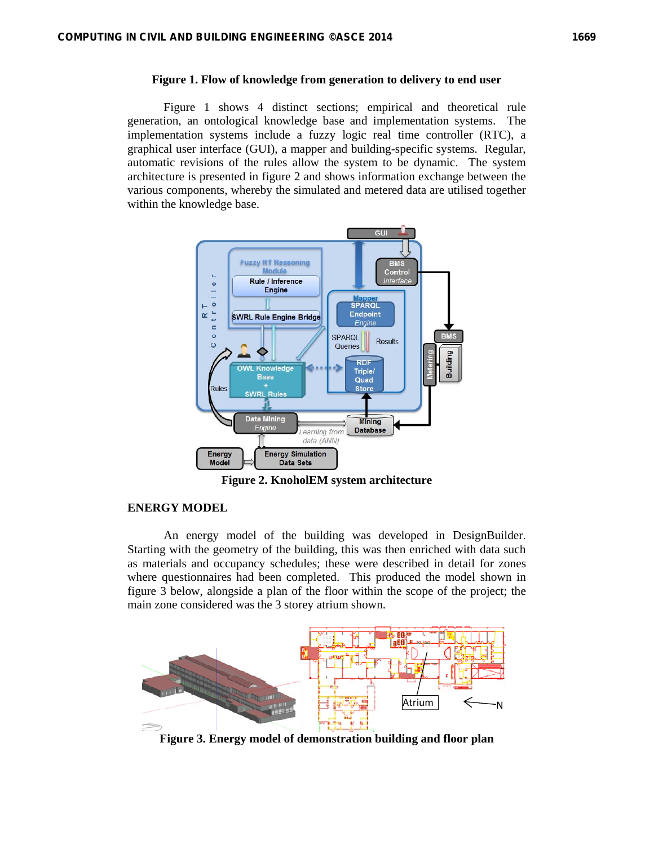## **Figure 1. Flow of knowledge from generation to delivery to end user**

Figure 1 shows 4 distinct sections; empirical and theoretical rule generation, an ontological knowledge base and implementation systems. The implementation systems include a fuzzy logic real time controller (RTC), a graphical user interface (GUI), a mapper and building-specific systems. Regular, automatic revisions of the rules allow the system to be dynamic. The system architecture is presented in figure 2 and shows information exchange between the various components, whereby the simulated and metered data are utilised together within the knowledge base.



**Figure 2. KnoholEM system architecture** 

## **ENERGY MODEL**

 An energy model of the building was developed in DesignBuilder. Starting with the geometry of the building, this was then enriched with data such as materials and occupancy schedules; these were described in detail for zones where questionnaires had been completed. This produced the model shown in figure 3 below, alongside a plan of the floor within the scope of the project; the main zone considered was the 3 storey atrium shown.



**Figure 3. Energy model of demonstration building and floor plan**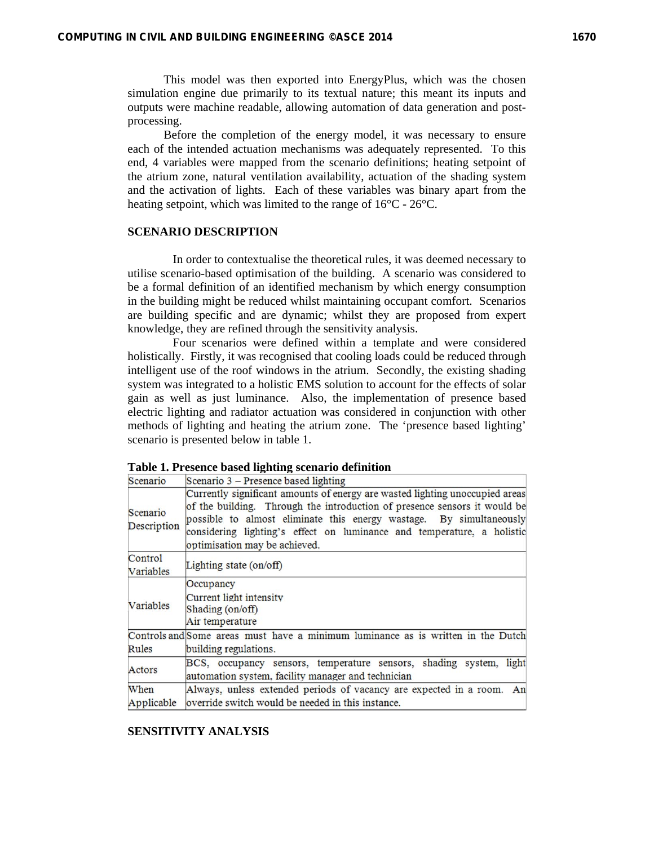This model was then exported into EnergyPlus, which was the chosen simulation engine due primarily to its textual nature; this meant its inputs and outputs were machine readable, allowing automation of data generation and postprocessing.

 Before the completion of the energy model, it was necessary to ensure each of the intended actuation mechanisms was adequately represented. To this end, 4 variables were mapped from the scenario definitions; heating setpoint of the atrium zone, natural ventilation availability, actuation of the shading system and the activation of lights. Each of these variables was binary apart from the heating setpoint, which was limited to the range of 16°C - 26°C.

# **SCENARIO DESCRIPTION**

In order to contextualise the theoretical rules, it was deemed necessary to utilise scenario-based optimisation of the building. A scenario was considered to be a formal definition of an identified mechanism by which energy consumption in the building might be reduced whilst maintaining occupant comfort. Scenarios are building specific and are dynamic; whilst they are proposed from expert knowledge, they are refined through the sensitivity analysis.

 Four scenarios were defined within a template and were considered holistically. Firstly, it was recognised that cooling loads could be reduced through intelligent use of the roof windows in the atrium. Secondly, the existing shading system was integrated to a holistic EMS solution to account for the effects of solar gain as well as just luminance. Also, the implementation of presence based electric lighting and radiator actuation was considered in conjunction with other methods of lighting and heating the atrium zone. The 'presence based lighting' scenario is presented below in table 1.

| Scenario                | Scenario 3 – Presence based lighting                                                                                                                                                                                                                                                                                                        |  |  |
|-------------------------|---------------------------------------------------------------------------------------------------------------------------------------------------------------------------------------------------------------------------------------------------------------------------------------------------------------------------------------------|--|--|
| Scenario<br>Description | Currently significant amounts of energy are wasted lighting unoccupied areas<br>of the building. Through the introduction of presence sensors it would be<br>possible to almost eliminate this energy wastage. By simultaneously<br>considering lighting's effect on luminance and temperature, a holistic<br>optimisation may be achieved. |  |  |
| Control<br>Variables    | Lighting state (on/off)                                                                                                                                                                                                                                                                                                                     |  |  |
| Variables               | Occupancy<br>Current light intensity<br>Shading (on/off)<br>Air temperature                                                                                                                                                                                                                                                                 |  |  |
| Rules                   | Controls and Some areas must have a minimum luminance as is written in the Dutch<br>building regulations.                                                                                                                                                                                                                                   |  |  |
| Actors                  | BCS, occupancy sensors, temperature sensors, shading system, light<br>automation system, facility manager and technician                                                                                                                                                                                                                    |  |  |
| When<br>Applicable      | Always, unless extended periods of vacancy are expected in a room. An<br>override switch would be needed in this instance.                                                                                                                                                                                                                  |  |  |

#### **Table 1. Presence based lighting scenario definition**

## **SENSITIVITY ANALYSIS**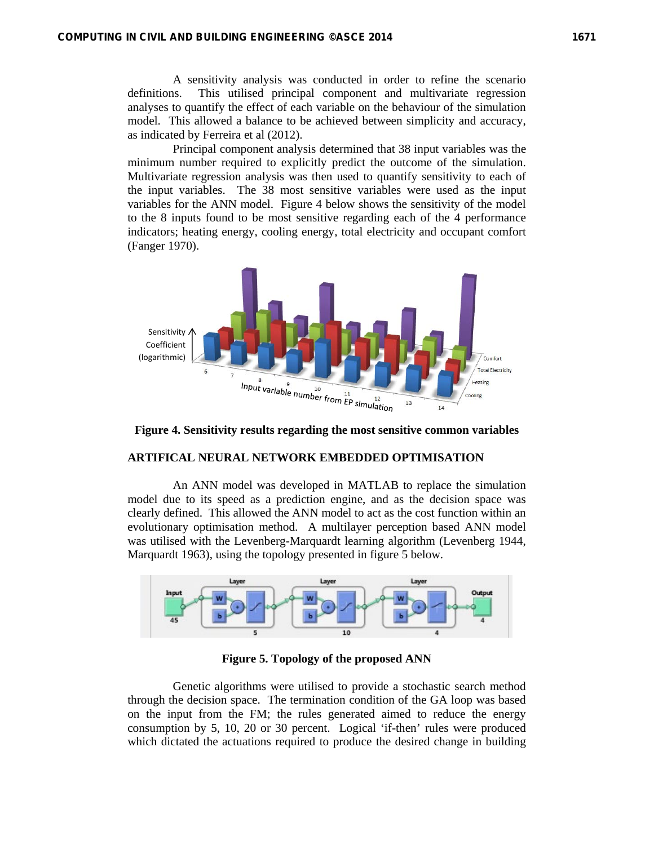A sensitivity analysis was conducted in order to refine the scenario definitions. This utilised principal component and multivariate regression analyses to quantify the effect of each variable on the behaviour of the simulation model. This allowed a balance to be achieved between simplicity and accuracy, as indicated by Ferreira et al (2012).

 Principal component analysis determined that 38 input variables was the minimum number required to explicitly predict the outcome of the simulation. Multivariate regression analysis was then used to quantify sensitivity to each of the input variables. The 38 most sensitive variables were used as the input variables for the ANN model. Figure 4 below shows the sensitivity of the model to the 8 inputs found to be most sensitive regarding each of the 4 performance indicators; heating energy, cooling energy, total electricity and occupant comfort (Fanger 1970).



**Figure 4. Sensitivity results regarding the most sensitive common variables** 

# **ARTIFICAL NEURAL NETWORK EMBEDDED OPTIMISATION**

 An ANN model was developed in MATLAB to replace the simulation model due to its speed as a prediction engine, and as the decision space was clearly defined. This allowed the ANN model to act as the cost function within an evolutionary optimisation method. A multilayer perception based ANN model was utilised with the Levenberg-Marquardt learning algorithm (Levenberg 1944, Marquardt 1963), using the topology presented in figure 5 below.



**Figure 5. Topology of the proposed ANN** 

 Genetic algorithms were utilised to provide a stochastic search method through the decision space. The termination condition of the GA loop was based on the input from the FM; the rules generated aimed to reduce the energy consumption by 5, 10, 20 or 30 percent. Logical 'if-then' rules were produced which dictated the actuations required to produce the desired change in building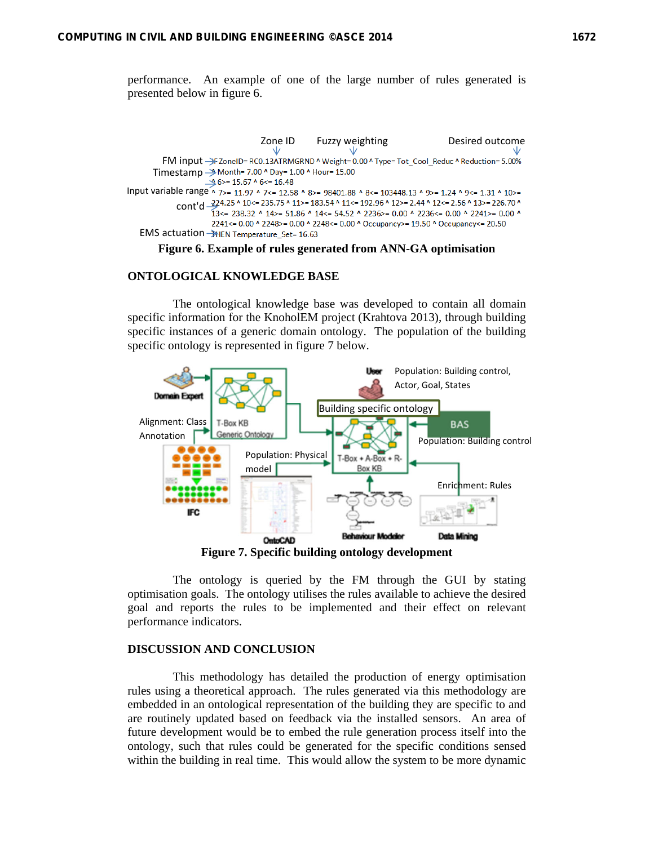performance. An example of one of the large number of rules generated is presented below in figure 6.



#### **Figure 6. Example of rules generated from ANN-GA optimisation**

### **ONTOLOGICAL KNOWLEDGE BASE**

The ontological knowledge base was developed to contain all domain specific information for the KnoholEM project (Krahtova 2013), through building specific instances of a generic domain ontology. The population of the building specific ontology is represented in figure 7 below.



**Figure 7. Specific building ontology development** 

 The ontology is queried by the FM through the GUI by stating optimisation goals. The ontology utilises the rules available to achieve the desired goal and reports the rules to be implemented and their effect on relevant performance indicators.

### **DISCUSSION AND CONCLUSION**

 This methodology has detailed the production of energy optimisation rules using a theoretical approach. The rules generated via this methodology are embedded in an ontological representation of the building they are specific to and are routinely updated based on feedback via the installed sensors. An area of future development would be to embed the rule generation process itself into the ontology, such that rules could be generated for the specific conditions sensed within the building in real time. This would allow the system to be more dynamic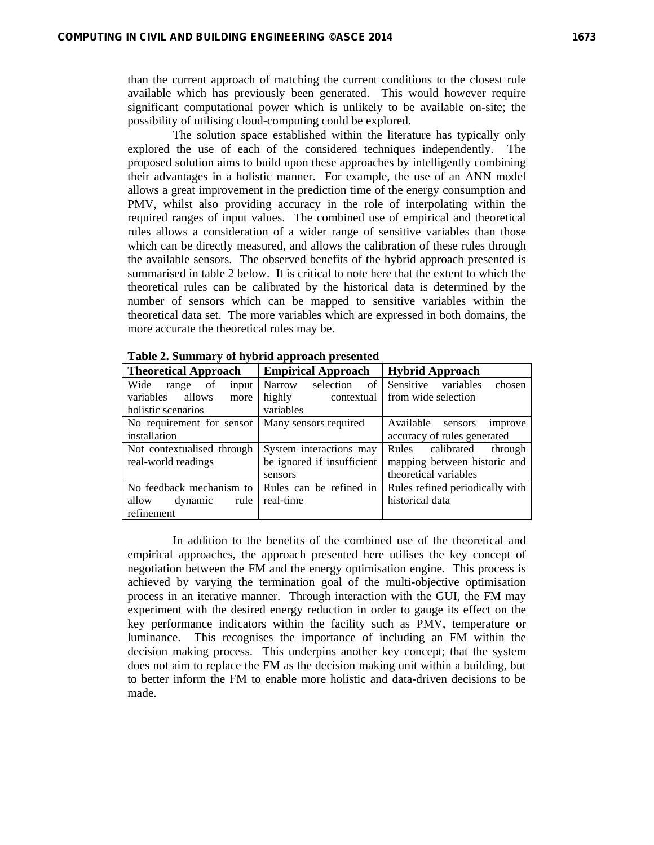than the current approach of matching the current conditions to the closest rule available which has previously been generated. This would however require significant computational power which is unlikely to be available on-site; the possibility of utilising cloud-computing could be explored.

 The solution space established within the literature has typically only explored the use of each of the considered techniques independently. The proposed solution aims to build upon these approaches by intelligently combining their advantages in a holistic manner. For example, the use of an ANN model allows a great improvement in the prediction time of the energy consumption and PMV, whilst also providing accuracy in the role of interpolating within the required ranges of input values. The combined use of empirical and theoretical rules allows a consideration of a wider range of sensitive variables than those which can be directly measured, and allows the calibration of these rules through the available sensors. The observed benefits of the hybrid approach presented is summarised in table 2 below. It is critical to note here that the extent to which the theoretical rules can be calibrated by the historical data is determined by the number of sensors which can be mapped to sensitive variables within the theoretical data set. The more variables which are expressed in both domains, the more accurate the theoretical rules may be.

| <b>Theoretical Approach</b>                       | <b>Empirical Approach</b>  | <b>Hybrid Approach</b>           |
|---------------------------------------------------|----------------------------|----------------------------------|
| Wide<br>of<br>input<br>range                      | Narrow<br>selection        | of Sensitive variables<br>chosen |
| allows<br>variables<br>more                       | highly<br>contextual       | from wide selection              |
| holistic scenarios                                | variables                  |                                  |
| No requirement for sensor   Many sensors required |                            | Available<br>sensors<br>improve  |
| installation                                      |                            | accuracy of rules generated      |
| Not contextualised through                        | System interactions may    | Rules<br>calibrated<br>through   |
| real-world readings                               | be ignored if insufficient | mapping between historic and     |
|                                                   | sensors                    | theoretical variables            |
| No feedback mechanism to                          | Rules can be refined in    | Rules refined periodically with  |
| allow<br>rule<br>dynamic                          | real-time                  | historical data                  |
| refinement                                        |                            |                                  |

**Table 2. Summary of hybrid approach presented** 

 In addition to the benefits of the combined use of the theoretical and empirical approaches, the approach presented here utilises the key concept of negotiation between the FM and the energy optimisation engine. This process is achieved by varying the termination goal of the multi-objective optimisation process in an iterative manner. Through interaction with the GUI, the FM may experiment with the desired energy reduction in order to gauge its effect on the key performance indicators within the facility such as PMV, temperature or luminance. This recognises the importance of including an FM within the decision making process. This underpins another key concept; that the system does not aim to replace the FM as the decision making unit within a building, but to better inform the FM to enable more holistic and data-driven decisions to be made.